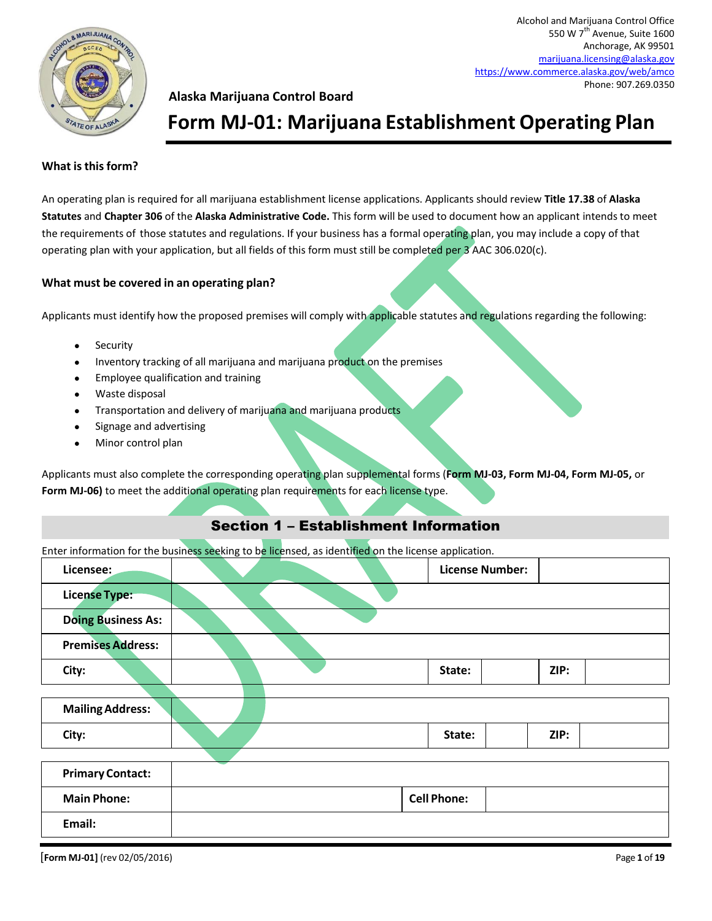

### **Alaska Marijuana Control Board**

### **Form MJ-01: Marijuana Establishment Operating Plan**

#### **What is this form?**

An operating plan is required for all marijuana establishment license applications. Applicants should review **Title 17.38** of **Alaska Statutes** and **Chapter 306** of the **Alaska Administrative Code.** This form will be used to document how an applicant intends to meet the requirements of those statutes and regulations. If your business has a formal operating plan, you may include a copy of that operating plan with your application, but all fields of this form must still be completed per 3 AAC 306.020(c).

#### **What must be covered in an operating plan?**

Applicants must identify how the proposed premises will comply with applicable statutes and regulations regarding the following:

- Security
- Inventory tracking of all marijuana and marijuana product on the premises
- Employee qualification and training
- Waste disposal
- Transportation and delivery of marijuana and marijuana products
- Signage and advertising
- Minor control plan

Applicants must also complete the corresponding operating plan supplemental forms (**Form MJ-03, Form MJ-04, Form MJ-05,** or **Form MJ-06)** to meet the additional operating plan requirements for each license type.

### Section 1 – Establishment Information

Enter information for the business seeking to be licensed, as identified on the license application.

|                           | ັ |  | . .                    |      |  |
|---------------------------|---|--|------------------------|------|--|
| Licensee:                 |   |  | <b>License Number:</b> |      |  |
| <b>License Type:</b>      |   |  |                        |      |  |
| <b>Doing Business As:</b> |   |  |                        |      |  |
| <b>Premises Address:</b>  |   |  |                        |      |  |
| City:                     |   |  | State:                 | ZIP: |  |
|                           |   |  |                        |      |  |
| <b>Mailing Address:</b>   |   |  |                        |      |  |
| City:                     |   |  | State:                 | ZIP: |  |
|                           |   |  |                        |      |  |
| <b>Primary Contact:</b>   |   |  |                        |      |  |
| <b>Main Phone:</b>        |   |  | <b>Cell Phone:</b>     |      |  |
| Email:                    |   |  |                        |      |  |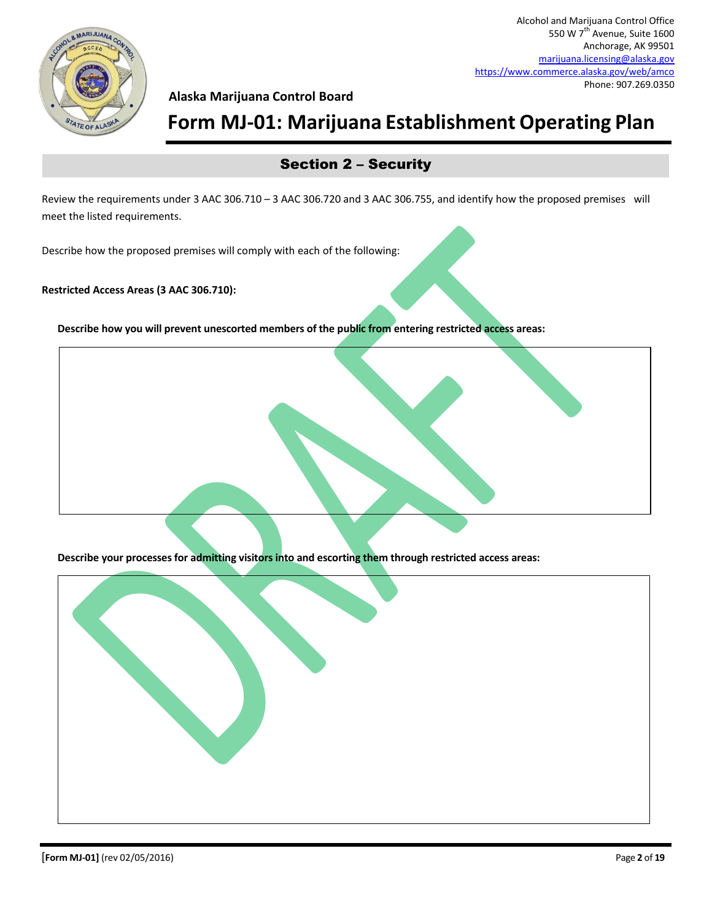

### **Form MJ-01: Marijuana Establishment Operating Plan**

### Section 2 – Security

Review the requirements under 3 AAC 306.710 – 3 AAC 306.720 and 3 AAC 306.755, and identify how the proposed premises will meet the listed requirements.

Describe how the proposed premises will comply with each of the following:

#### **Restricted Access Areas (3 AAC 306.710):**

**Describe how you will prevent unescorted members of the public from entering restricted access areas:**



**Describe your processes for admitting visitors into and escorting them through restricted access areas:**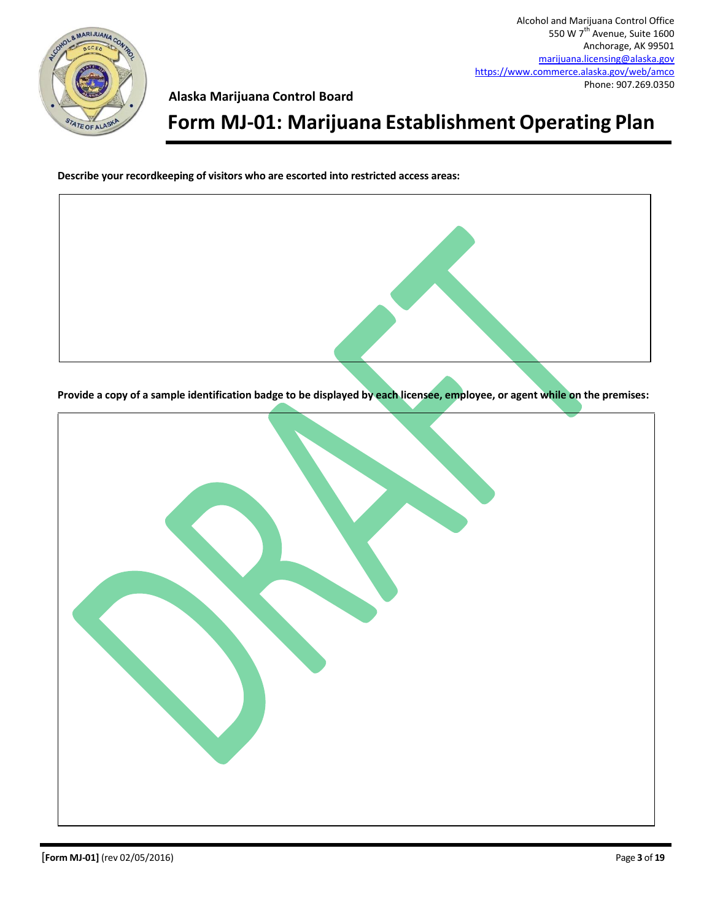

## **Form MJ-01: Marijuana Establishment Operating Plan**

**Describe your recordkeeping of visitors who are escorted into restricted access areas:**

**Provide a copy of a sample identification badge to be displayed by each licensee, employee, or agent while on the premises:**

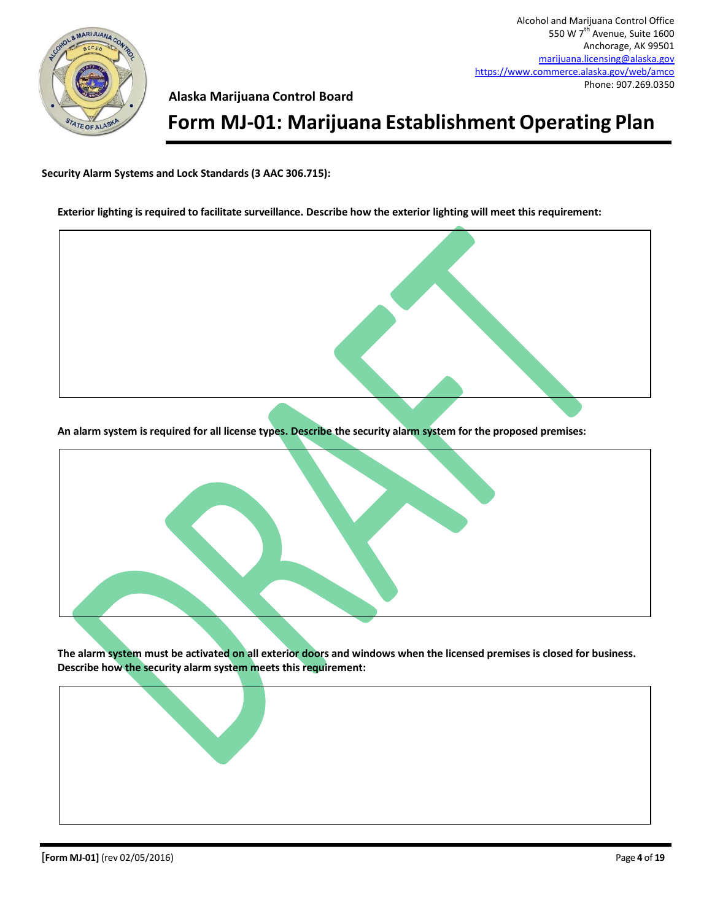

## **Form MJ-01: Marijuana Establishment Operating Plan**

**Security Alarm Systems and Lock Standards (3 AAC 306.715):**

#### **Exterior lighting is required to facilitate surveillance. Describe how the exterior lighting will meet this requirement:**

**An alarm system is required for all license types. Describe the security alarm system for the proposed premises:**



**The alarm system must be activated on all exterior doors and windows when the licensed premises is closed for business. Describe how the security alarm system meets this requirement:**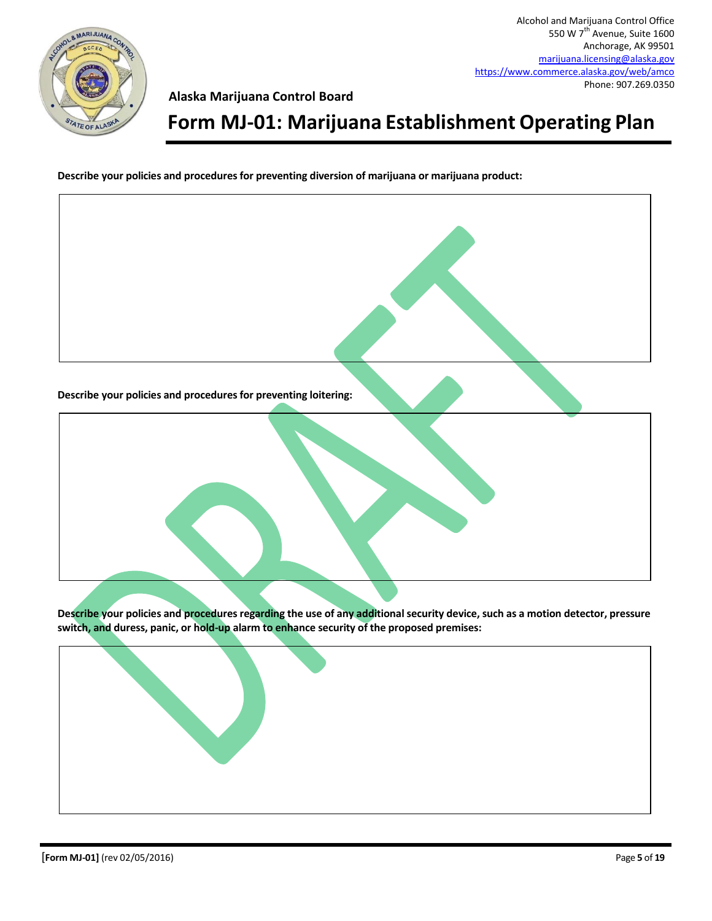

## **Form MJ-01: Marijuana Establishment Operating Plan**

**Describe your policies and procedures for preventing diversion of marijuana or marijuana product:**



**Describe your policies and procedures regarding the use of any additional security device, such as a motion detector, pressure switch, and duress, panic, or hold-up alarm to enhance security of the proposed premises:**

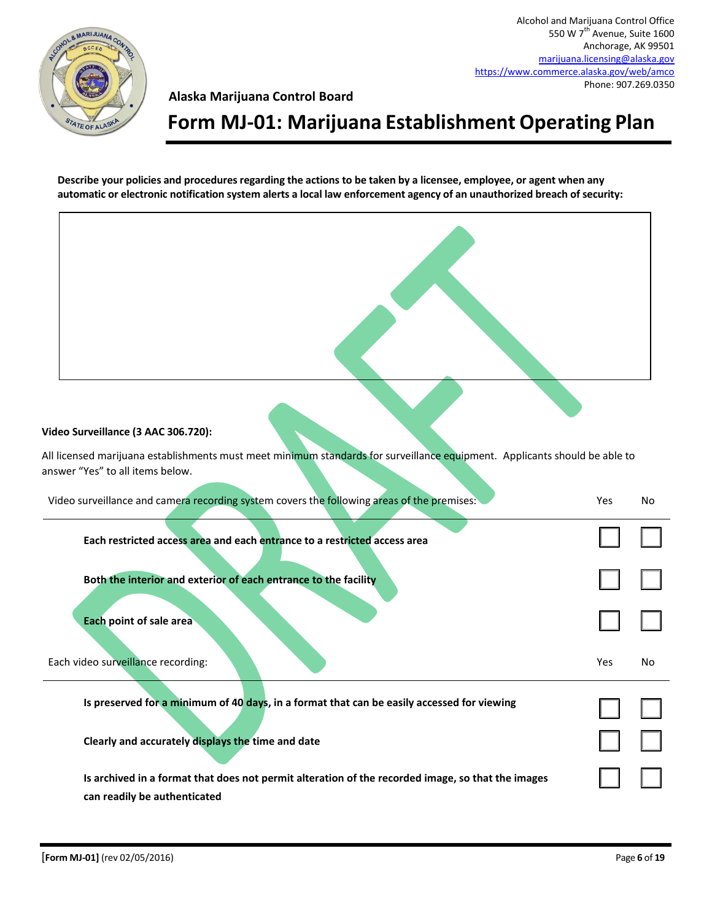

## **Form MJ-01: Marijuana Establishment Operating Plan**

**Describe your policies and procedures regarding the actions to be taken by a licensee, employee, or agent when any automatic or electronic notification system alerts a local law enforcement agency of an unauthorized breach of security:**

# $\Box$ ☐ ☐  $\Box$  $\Box$ ☐ ☐  $\Box$ **Video Surveillance (3 AAC 306.720):** All licensed marijuana establishments must meet minimum standards for surveillance equipment. Applicants should be able to answer "Yes" to all items below. Video surveillance and camera recording system covers the following areas of the premises: Yes No **Each restricted access area and each entrance to a restricted access area Both the interior and exterior of each entrance to the facility Each point of sale area** Each video surveillance recording: No was a subset of the surveillance recording: No was a subset of the surveillance recording: No was a subset of the surveillance recording: No was a subset of the surveillance recording: **Is preserved for a minimum of 40 days, in a format that can be easily accessed for viewing Clearly and accurately displays the time and date Is archived in a format that does not permit alteration of the recorded image, so that the images can readily be authenticated**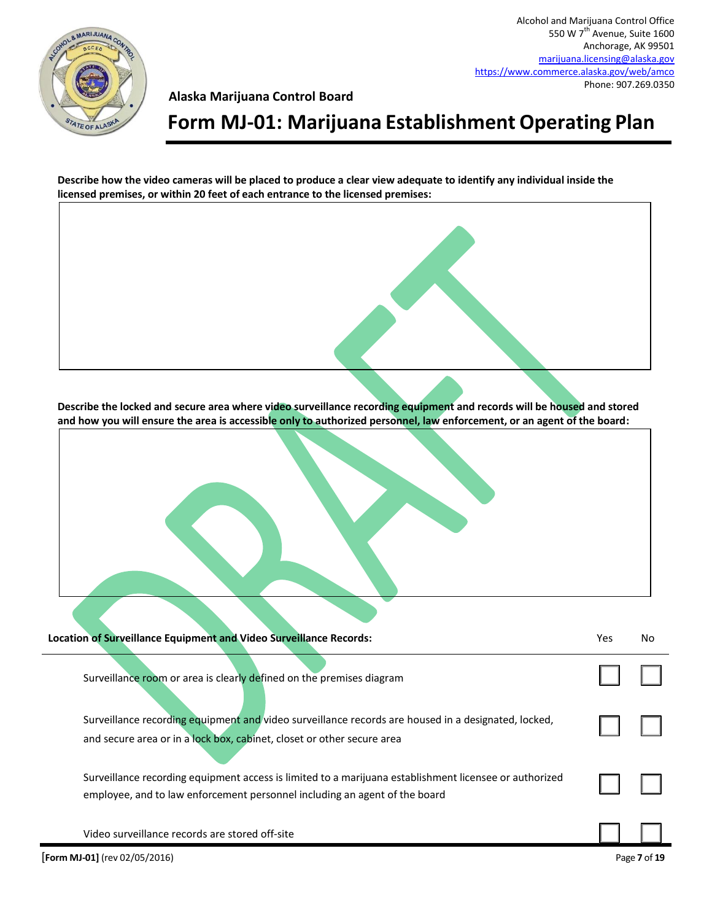

**Alaska Marijuana Control Board**

## **Form MJ-01: Marijuana Establishment Operating Plan**

**Describe how the video cameras will be placed to produce a clear view adequate to identify any individual inside the licensed premises, or within 20 feet of each entrance to the licensed premises:**

**Describe the locked and secure area where video surveillance recording equipment and records will be housed and stored and how you will ensure the area is accessible only to authorized personnel, law enforcement, or an agent of the board:**

| Location of Surveillance Equipment and Video Surveillance Records:                                                                                                                   | Yes | No. |
|--------------------------------------------------------------------------------------------------------------------------------------------------------------------------------------|-----|-----|
| Surveillance room or area is clearly defined on the premises diagram                                                                                                                 |     |     |
| Surveillance recording equipment and video surveillance records are housed in a designated, locked,<br>and secure area or in a lock box, cabinet, closet or other secure area        |     |     |
| Surveillance recording equipment access is limited to a marijuana establishment licensee or authorized<br>employee, and to law enforcement personnel including an agent of the board |     |     |

Video surveillance records are stored off-site

 $\Box$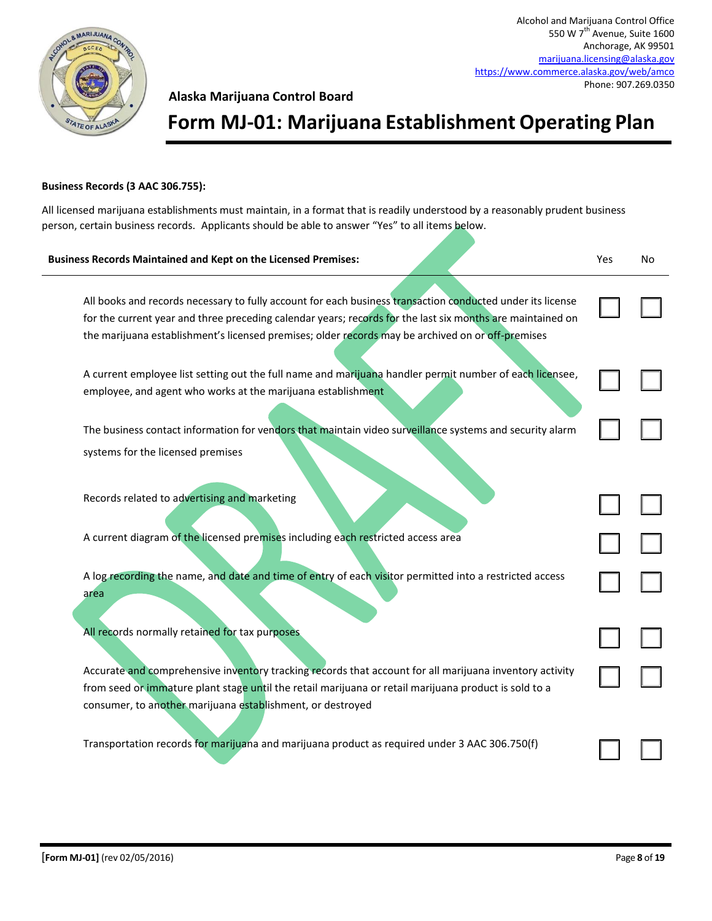

## **Form MJ-01: Marijuana Establishment Operating Plan**

#### **Business Records (3 AAC 306.755):**

All licensed marijuana establishments must maintain, in a format that is readily understood by a reasonably prudent business person, certain business records. Applicants should be able to answer "Yes" to all items below.

| <b>Business Records Maintained and Kept on the Licensed Premises:</b>                                                                                                                                                                                                                                                         | Yes | No |
|-------------------------------------------------------------------------------------------------------------------------------------------------------------------------------------------------------------------------------------------------------------------------------------------------------------------------------|-----|----|
| All books and records necessary to fully account for each business transaction conducted under its license<br>for the current year and three preceding calendar years; records for the last six months are maintained on<br>the marijuana establishment's licensed premises; older records may be archived on or off-premises |     |    |
| A current employee list setting out the full name and marijuana handler permit number of each licensee,<br>employee, and agent who works at the marijuana establishment                                                                                                                                                       |     |    |
| The business contact information for vendors that maintain video surveillance systems and security alarm                                                                                                                                                                                                                      |     |    |
| systems for the licensed premises                                                                                                                                                                                                                                                                                             |     |    |
| Records related to advertising and marketing                                                                                                                                                                                                                                                                                  |     |    |
| A current diagram of the licensed premises including each restricted access area                                                                                                                                                                                                                                              |     |    |
| A log recording the name, and date and time of entry of each visitor permitted into a restricted access<br>area                                                                                                                                                                                                               |     |    |
| All records normally retained for tax purposes.                                                                                                                                                                                                                                                                               |     |    |
| Accurate and comprehensive inventory tracking records that account for all marijuana inventory activity<br>from seed or immature plant stage until the retail marijuana or retail marijuana product is sold to a                                                                                                              |     |    |
| consumer, to another marijuana establishment, or destroyed                                                                                                                                                                                                                                                                    |     |    |
| Transportation records for marijuana and marijuana product as required under 3 AAC 306.750(f)                                                                                                                                                                                                                                 |     |    |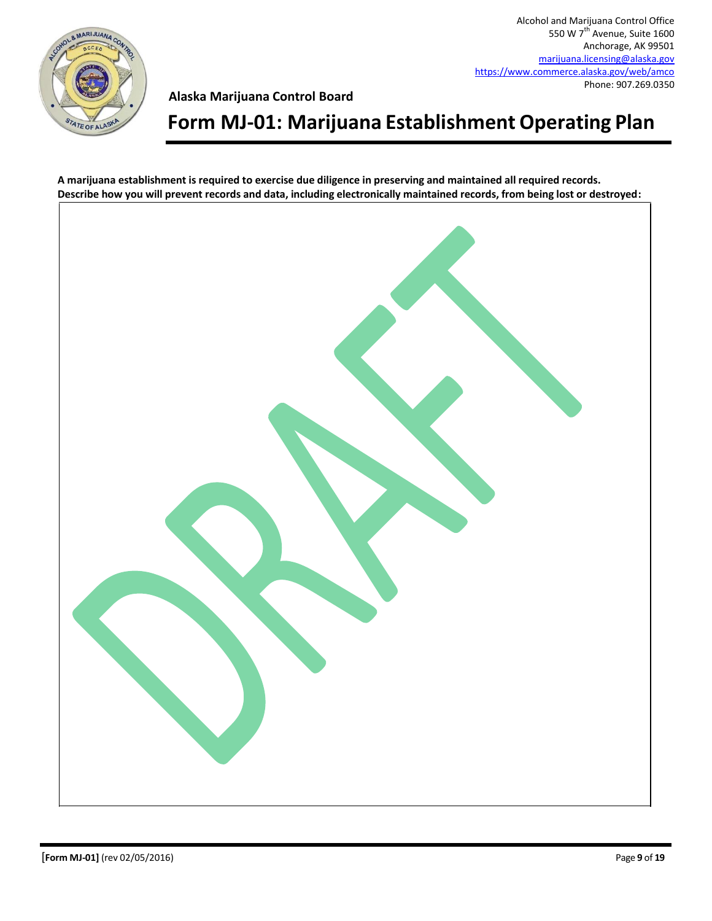

## **Form MJ-01: Marijuana Establishment Operating Plan**

**A marijuana establishment is required to exercise due diligence in preserving and maintained all required records. Describe how you will prevent records and data, including electronically maintained records, from being lost or destroyed:**

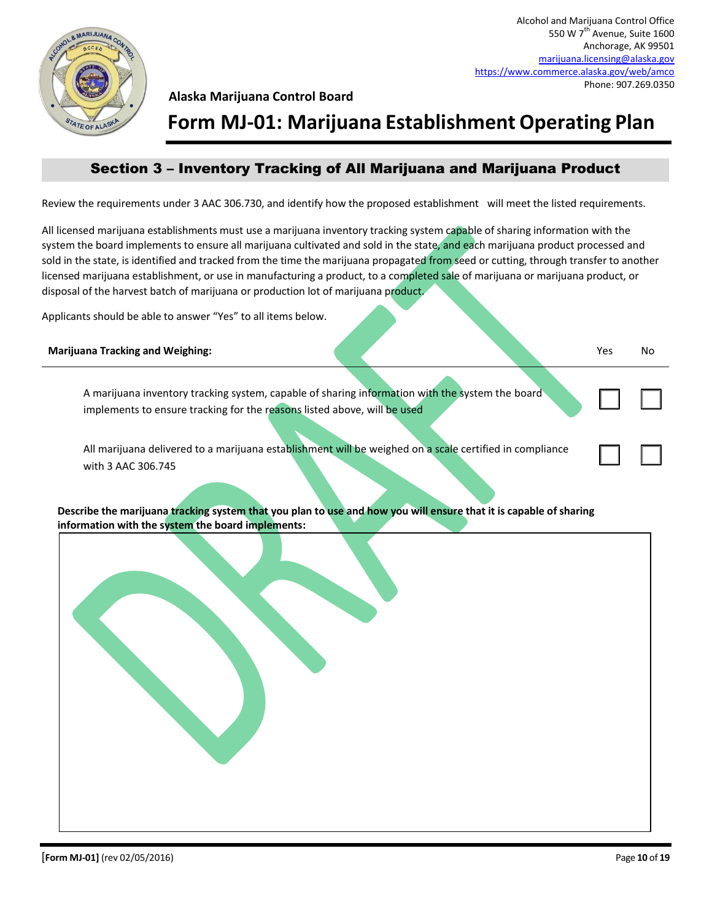

## **Form MJ-01: Marijuana Establishment Operating Plan**

### Section 3 – Inventory Tracking of All Marijuana and Marijuana Product

Review the requirements under 3 AAC 306.730, and identify how the proposed establishment will meet the listed requirements.

All licensed marijuana establishments must use a marijuana inventory tracking system capable of sharing information with the system the board implements to ensure all marijuana cultivated and sold in the state, and each marijuana product processed and sold in the state, is identified and tracked from the time the marijuana propagated from seed or cutting, through transfer to another licensed marijuana establishment, or use in manufacturing a product, to a completed sale of marijuana or marijuana product, or disposal of the harvest batch of marijuana or production lot of marijuana product.

Applicants should be able to answer "Yes" to all items below.

#### **Marijuana Tracking and Weighing:** No. 2008. The state of the state of the state of the state of the state of the state of the state of the state of the state of the state of the state of the state of the state of the stat

A marijuana inventory tracking system, capable of sharing information with the system the board implements to ensure tracking for the reasons listed above, will be used

All marijuana delivered to a marijuana establishment will be weighed on a scale certified in compliance with 3 AAC 306.745

**Describe the marijuana tracking system that you plan to use and how you will ensure that it is capable of sharing information with the system the board implements:**

☐ ☐

☐ ☐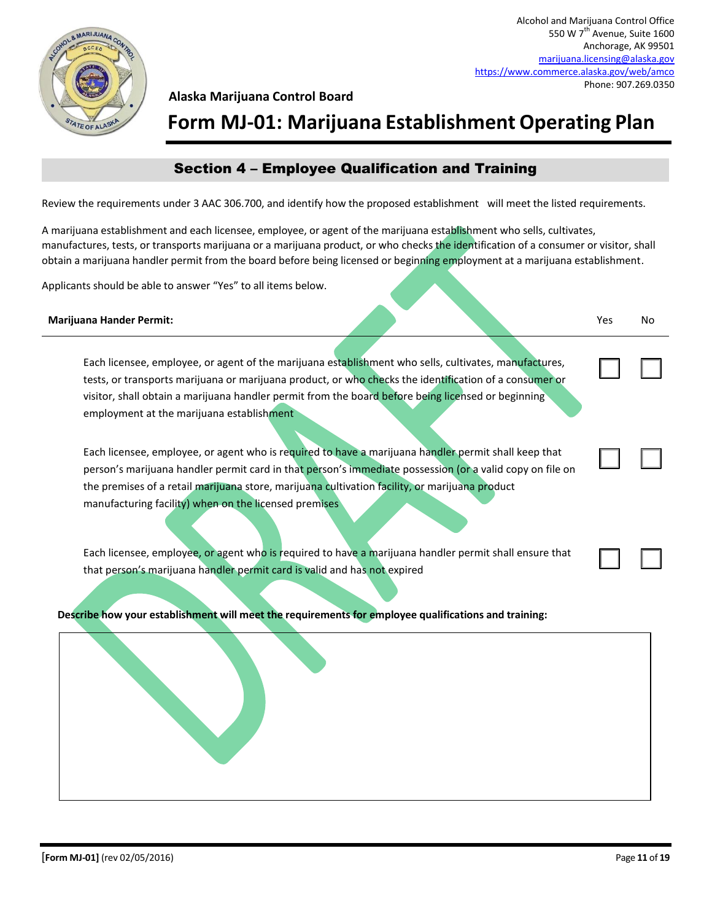

**Form MJ-01: Marijuana Establishment Operating Plan**

### Section 4 – Employee Qualification and Training

Review the requirements under 3 AAC 306.700, and identify how the proposed establishment will meet the listed requirements.

A marijuana establishment and each licensee, employee, or agent of the marijuana establishment who sells, cultivates, manufactures, tests, or transports marijuana or a marijuana product, or who checks the identification of a consumer or visitor, shall obtain a marijuana handler permit from the board before being licensed or beginning employment at a marijuana establishment.

Applicants should be able to answer "Yes" to all items below.

#### **Marijuana Hander Permit:** Yes No

Each licensee, employee, or agent of the marijuana establishment who sells, cultivates, manufactures, tests, or transports marijuana or marijuana product, or who checks the identification of a consumer or visitor, shall obtain a marijuana handler permit from the board before being licensed or beginning employment at the marijuana establishment

Each licensee, employee, or agent who is required to have a marijuana handler permit shall keep that person's marijuana handler permit card in that person's immediate possession (or a valid copy on file on the premises of a retail marijuana store, marijuana cultivation facility, or marijuana product manufacturing facility) when on the licensed premises

Each licensee, employee, or agent who is required to have a marijuana handler permit shall ensure that that person's marijuana handler permit card is valid and has not expired

**Describe how your establishment will meet the requirements for employee qualifications and training:**

 $\Box$ 

 $\Box$ 

☐ ☐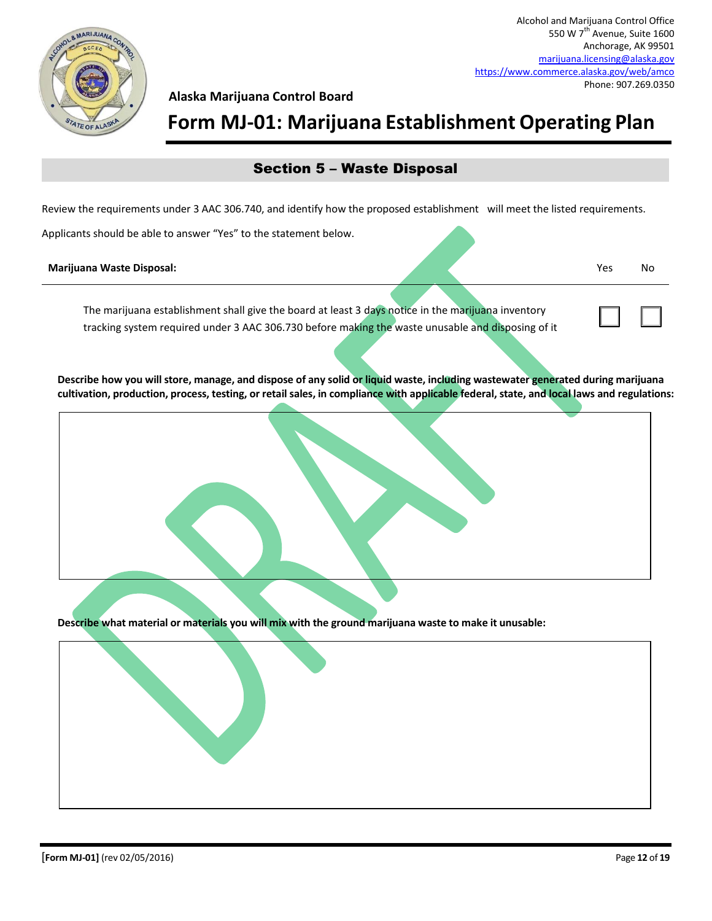

### **Form MJ-01: Marijuana Establishment Operating Plan**

### Section 5 – Waste Disposal

Review the requirements under 3 AAC 306.740, and identify how the proposed establishment will meet the listed requirements.

Applicants should be able to answer "Yes" to the statement below.

#### **Marijuana Waste Disposal:** Yes No

 $\Box$ 

The marijuana establishment shall give the board at least 3 days notice in the marijuana inventory tracking system required under 3 AAC 306.730 before making the waste unusable and disposing of it

**Describe how you will store, manage, and dispose of any solid or liquid waste, including wastewater generated during marijuana cultivation, production, process, testing, or retail sales, in compliance with applicable federal, state, and local laws and regulations:**



**Describe what material or materials you will mix with the ground marijuana waste to make it unusable:**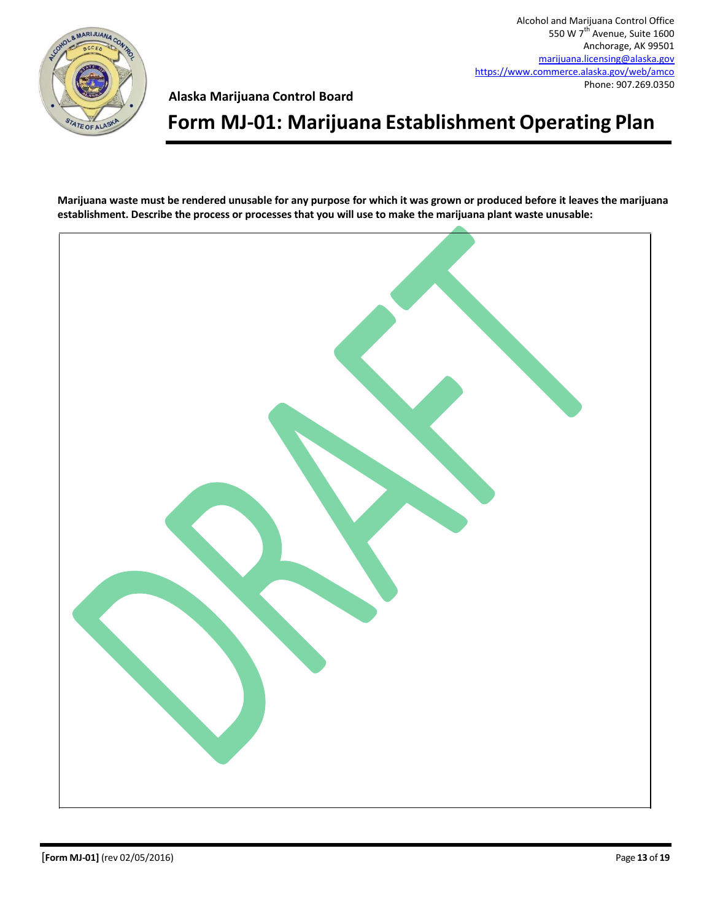

**Alaska Marijuana Control Board**

## **Form MJ-01: Marijuana Establishment Operating Plan**

**Marijuana waste must be rendered unusable for any purpose for which it was grown or produced before it leaves the marijuana establishment. Describe the process or processes that you will use to make the marijuana plant waste unusable:**

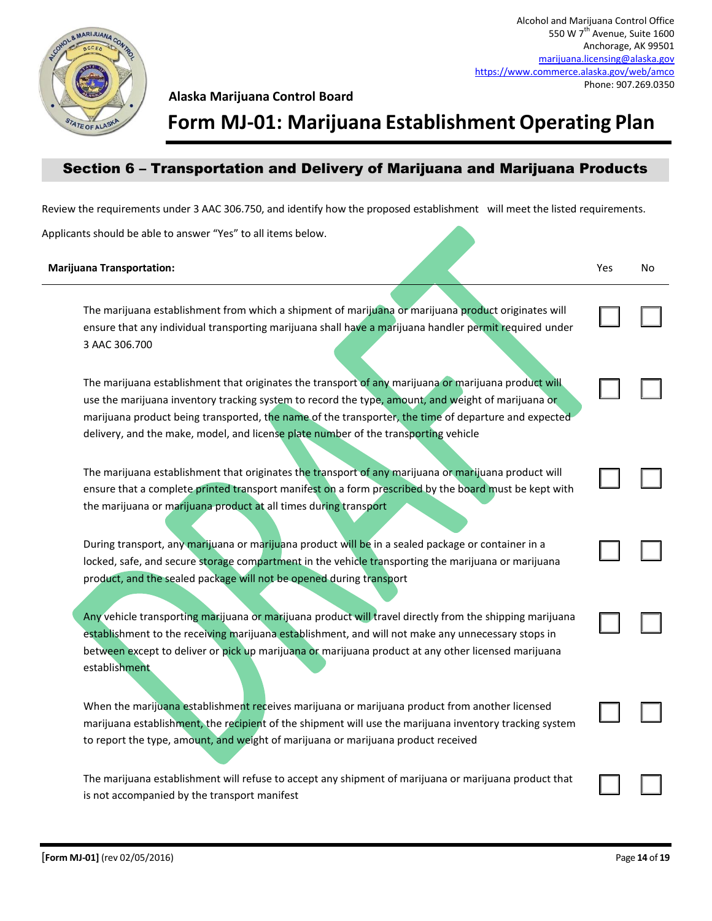

 $\Box$ 

☐ ☐

 $\Box$ 

 $\Box$ 

☐ ☐

 $\Box$ 

 $\Box$ 

### **Form MJ-01: Marijuana Establishment Operating Plan**

### Section 6 – Transportation and Delivery of Marijuana and Marijuana Products

Review the requirements under 3 AAC 306.750, and identify how the proposed establishment will meet the listed requirements.

Applicants should be able to answer "Yes" to all items below.

#### **Marijuana Transportation:** Note that the second second the second second second second second second second second second second second second second second second second second second second second second second second s

The marijuana establishment from which a shipment of marijuana or marijuana product originates will ensure that any individual transporting marijuana shall have a marijuana handler permit required under 3 AAC 306.700

The marijuana establishment that originates the transport of any marijuana or marijuana product will use the marijuana inventory tracking system to record the type, amount, and weight of marijuana or marijuana product being transported, the name of the transporter, the time of departure and expected delivery, and the make, model, and license plate number of the transporting vehicle

The marijuana establishment that originates the transport of any marijuana or marijuana product will ensure that a complete printed transport manifest on a form prescribed by the board must be kept with the marijuana or marijuana product at all times during transport

During transport, any marijuana or marijuana product will be in a sealed package or container in a locked, safe, and secure storage compartment in the vehicle transporting the marijuana or marijuana product, and the sealed package will not be opened during transport

Any vehicle transporting marijuana or marijuana product will travel directly from the shipping marijuana establishment to the receiving marijuana establishment, and will not make any unnecessary stops in between except to deliver or pick up marijuana or marijuana product at any other licensed marijuana establishment

When the marijuana establishment receives marijuana or marijuana product from another licensed marijuana establishment, the recipient of the shipment will use the marijuana inventory tracking system to report the type, amount, and weight of marijuana or marijuana product received

The marijuana establishment will refuse to accept any shipment of marijuana or marijuana product that is not accompanied by the transport manifest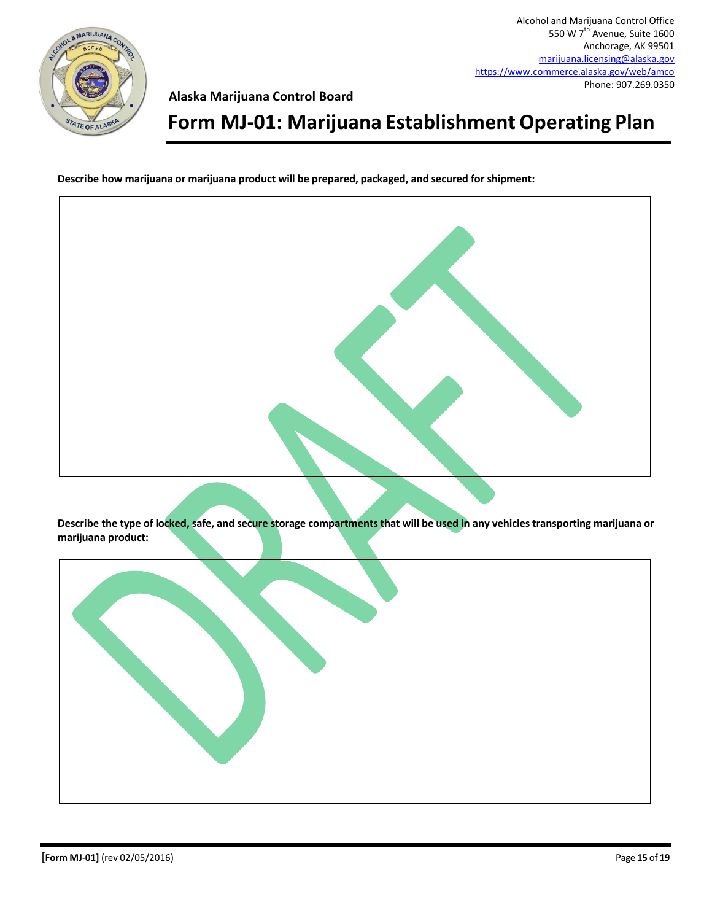

**Alaska Marijuana Control Board**

## **Form MJ-01: Marijuana Establishment Operating Plan**

**Describe how marijuana or marijuana product will be prepared, packaged, and secured for shipment:**



**Describe the type of locked, safe, and secure storage compartments that will be used in any vehicles transporting marijuana or marijuana product:**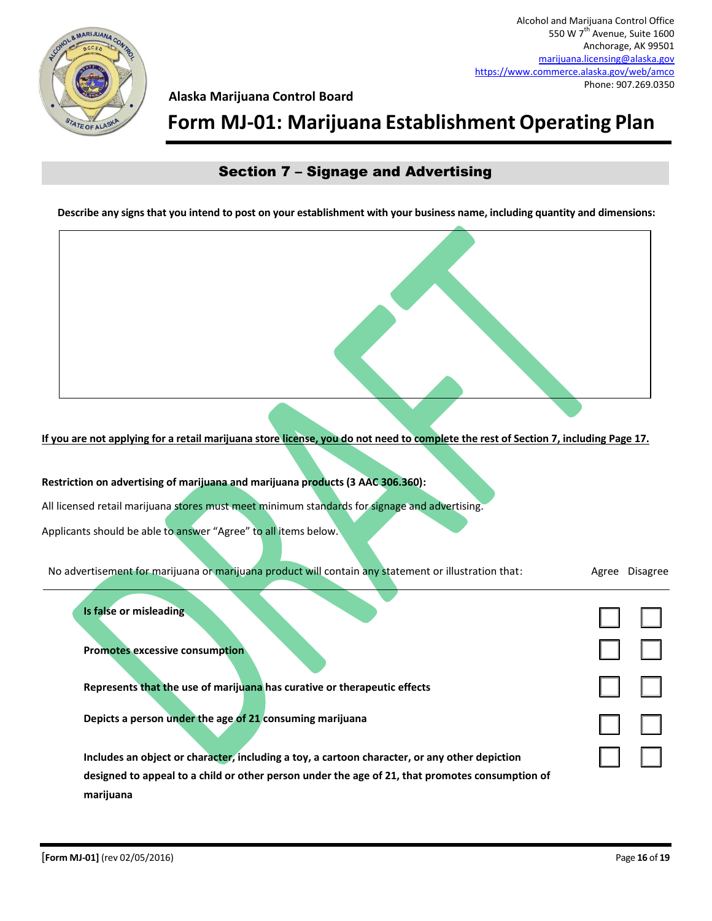

#### **Alaska Marijuana Control Board**

### **Form MJ-01: Marijuana Establishment Operating Plan**

### Section 7 – Signage and Advertising

**Describe any signs that you intend to post on your establishment with your business name, including quantity and dimensions:**

**If you are not applying for a retail marijuana store license, you do not need to complete the rest of Section 7, including Page 17.**

☐ ☐  $\Box$  $\Box$ ☐ ☐ ☐ ☐ **Restriction on advertising of marijuana and marijuana products (3 AAC 306.360):** All licensed retail marijuana stores must meet minimum standards for signage and advertising. Applicants should be able to answer "Agree" to all items below. No advertisement for marijuana or marijuana product will contain any statement or illustration that: Agree Disagree **Is false or misleading Promotes excessive consumption Represents that the use of marijuana has curative or therapeutic effects Depicts a person under the age of 21 consuming marijuana Includes an object or character, including a toy, a cartoon character, or any other depiction designed to appeal to a child or other person under the age of 21, that promotes consumption of marijuana**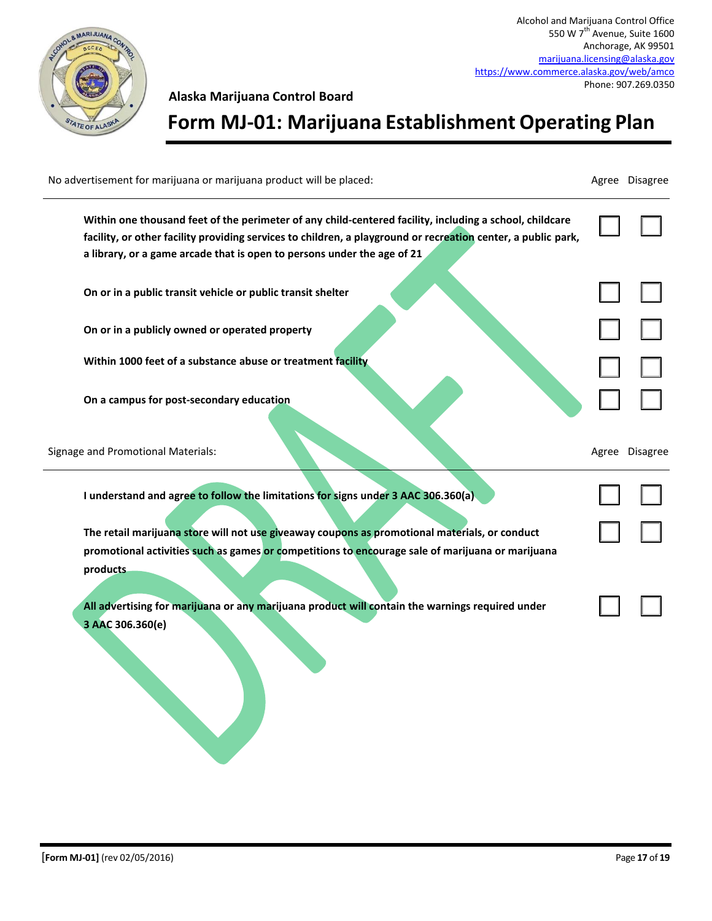

**Alaska Marijuana Control Board**

**Form MJ-01: Marijuana Establishment Operating Plan**

 $\Box$ ☐ ☐  $\Box$  $\Box$  $\Box$  $\Box$ ☐ ☐  $\Box$ No advertisement for marijuana or marijuana product will be placed: Agree Disagree Disagree Disagree **Within one thousand feet of the perimeter of any child-centered facility, including a school, childcare facility, or other facility providing services to children, a playground or recreation center, a public park, a library, or a game arcade that is open to persons under the age of 21 On or in a public transit vehicle or public transit shelter On or in a publicly owned or operated property Within 1000 feet of a substance abuse or treatment facility On a campus for post-secondary education** Signage and Promotional Materials: Agree Disagree Disagree **I understand and agree to follow the limitations for signs under 3 AAC 306.360(a) The retail marijuana store will not use giveaway coupons as promotional materials, or conduct promotional activities such as games or competitions to encourage sale of marijuana or marijuana products All advertising for marijuana or any marijuana product will contain the warnings required under 3 AAC 306.360(e)**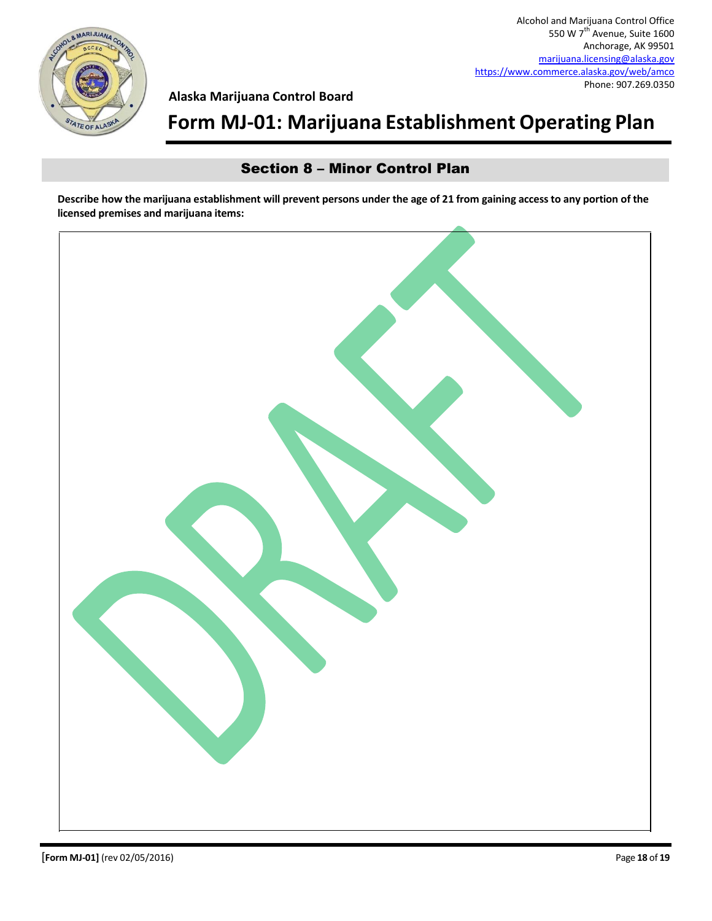

## **Form MJ-01: Marijuana Establishment Operating Plan**

### Section 8 – Minor Control Plan

**Describe how the marijuana establishment will prevent persons under the age of 21 from gaining access to any portion of the licensed premises and marijuana items:**